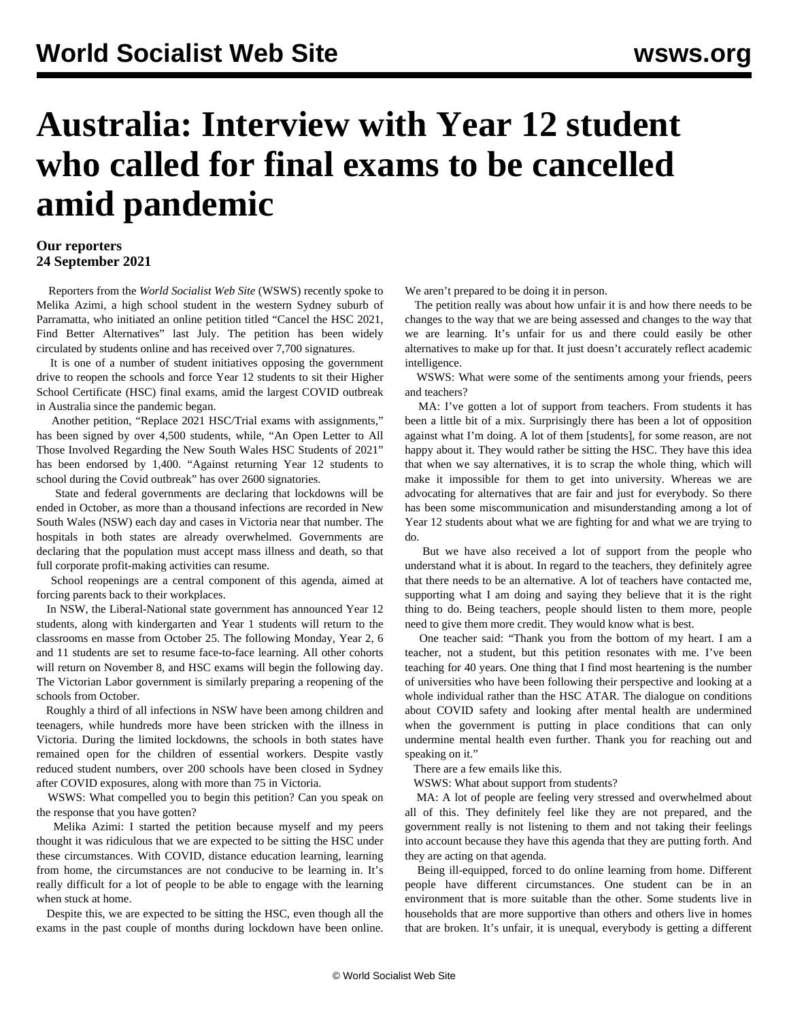## **Australia: Interview with Year 12 student who called for final exams to be cancelled amid pandemic**

## **Our reporters 24 September 2021**

 Reporters from the *World Socialist Web Site* (WSWS) recently spoke to Melika Azimi, a high school student in the western Sydney suburb of Parramatta, who initiated an online petition titled "Cancel the HSC 2021, Find Better Alternatives" last July. The petition has been widely circulated by students online and has received over 7,700 signatures.

 It is one of a number of student initiatives opposing the government drive to reopen the schools and force Year 12 students to sit their Higher School Certificate (HSC) final exams, amid the largest COVID outbreak in Australia since the pandemic began.

 Another petition, "Replace 2021 HSC/Trial exams with assignments," has been signed by over 4,500 students, while, "An Open Letter to All Those Involved Regarding the New South Wales HSC Students of 2021" has been endorsed by 1,400. "Against returning Year 12 students to school during the Covid outbreak" has over 2600 signatories.

 State and federal governments are declaring that lockdowns will be ended in October, as more than a thousand infections are recorded in New South Wales (NSW) each day and cases in Victoria near that number. The hospitals in both states are already overwhelmed. Governments are declaring that the population must accept mass illness and death, so that full corporate profit-making activities can resume.

 School reopenings are a central component of this agenda, aimed at forcing parents back to their workplaces.

 In NSW, the Liberal-National state government has announced Year 12 students, along with kindergarten and Year 1 students will return to the classrooms en masse from October 25. The following Monday, Year 2, 6 and 11 students are set to resume face-to-face learning. All other cohorts will return on November 8, and HSC exams will begin the following day. The Victorian Labor government is similarly preparing a reopening of the schools from October.

 Roughly a third of all infections in NSW have been among children and teenagers, while hundreds more have been stricken with the illness in Victoria. During the limited lockdowns, the schools in both states have remained open for the children of essential workers. Despite vastly reduced student numbers, over 200 schools have been closed in Sydney after COVID exposures, along with more than 75 in Victoria.

 WSWS: What compelled you to begin this petition? Can you speak on the response that you have gotten?

 Melika Azimi: I started the petition because myself and my peers thought it was ridiculous that we are expected to be sitting the HSC under these circumstances. With COVID, distance education learning, learning from home, the circumstances are not conducive to be learning in. It's really difficult for a lot of people to be able to engage with the learning when stuck at home.

 Despite this, we are expected to be sitting the HSC, even though all the exams in the past couple of months during lockdown have been online. We aren't prepared to be doing it in person.

 The petition really was about how unfair it is and how there needs to be changes to the way that we are being assessed and changes to the way that we are learning. It's unfair for us and there could easily be other alternatives to make up for that. It just doesn't accurately reflect academic intelligence.

 WSWS: What were some of the sentiments among your friends, peers and teachers?

 MA: I've gotten a lot of support from teachers. From students it has been a little bit of a mix. Surprisingly there has been a lot of opposition against what I'm doing. A lot of them [students], for some reason, are not happy about it. They would rather be sitting the HSC. They have this idea that when we say alternatives, it is to scrap the whole thing, which will make it impossible for them to get into university. Whereas we are advocating for alternatives that are fair and just for everybody. So there has been some miscommunication and misunderstanding among a lot of Year 12 students about what we are fighting for and what we are trying to do.

 But we have also received a lot of support from the people who understand what it is about. In regard to the teachers, they definitely agree that there needs to be an alternative. A lot of teachers have contacted me, supporting what I am doing and saying they believe that it is the right thing to do. Being teachers, people should listen to them more, people need to give them more credit. They would know what is best.

 One teacher said: "Thank you from the bottom of my heart. I am a teacher, not a student, but this petition resonates with me. I've been teaching for 40 years. One thing that I find most heartening is the number of universities who have been following their perspective and looking at a whole individual rather than the HSC ATAR. The dialogue on conditions about COVID safety and looking after mental health are undermined when the government is putting in place conditions that can only undermine mental health even further. Thank you for reaching out and speaking on it."

There are a few emails like this.

WSWS: What about support from students?

 MA: A lot of people are feeling very stressed and overwhelmed about all of this. They definitely feel like they are not prepared, and the government really is not listening to them and not taking their feelings into account because they have this agenda that they are putting forth. And they are acting on that agenda.

 Being ill-equipped, forced to do online learning from home. Different people have different circumstances. One student can be in an environment that is more suitable than the other. Some students live in households that are more supportive than others and others live in homes that are broken. It's unfair, it is unequal, everybody is getting a different